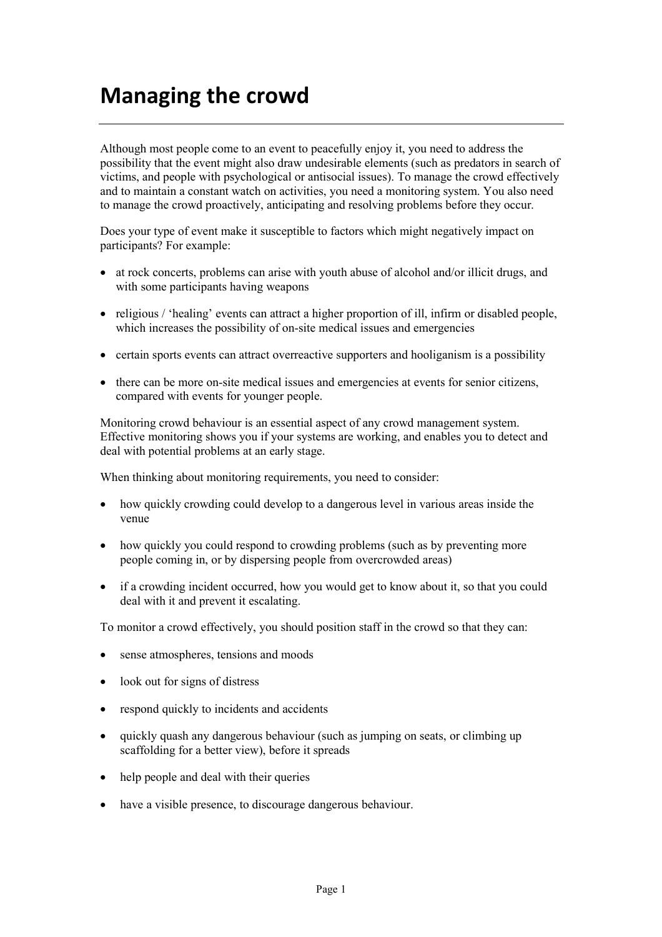## **Managing the crowd**

Although most people come to an event to peacefully enjoy it, you need to address the possibility that the event might also draw undesirable elements (such as predators in search of victims, and people with psychological or antisocial issues). To manage the crowd effectively and to maintain a constant watch on activities, you need a monitoring system. You also need to manage the crowd proactively, anticipating and resolving problems before they occur.

Does your type of event make it susceptible to factors which might negatively impact on participants? For example:

- at rock concerts, problems can arise with youth abuse of alcohol and/or illicit drugs, and with some participants having weapons
- religious / 'healing' events can attract a higher proportion of ill, infirm or disabled people, which increases the possibility of on-site medical issues and emergencies
- certain sports events can attract overreactive supporters and hooliganism is a possibility
- there can be more on-site medical issues and emergencies at events for senior citizens, compared with events for younger people.

Monitoring crowd behaviour is an essential aspect of any crowd management system. Effective monitoring shows you if your systems are working, and enables you to detect and deal with potential problems at an early stage.

When thinking about monitoring requirements, you need to consider:

- how quickly crowding could develop to a dangerous level in various areas inside the venue
- how quickly you could respond to crowding problems (such as by preventing more people coming in, or by dispersing people from overcrowded areas)
- if a crowding incident occurred, how you would get to know about it, so that you could deal with it and prevent it escalating.

To monitor a crowd effectively, you should position staff in the crowd so that they can:

- sense atmospheres, tensions and moods
- look out for signs of distress
- respond quickly to incidents and accidents
- quickly quash any dangerous behaviour (such as jumping on seats, or climbing up scaffolding for a better view), before it spreads
- help people and deal with their queries
- have a visible presence, to discourage dangerous behaviour.